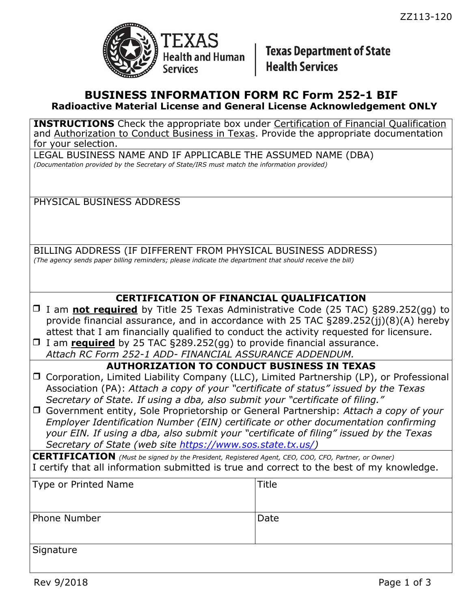

**Texas Department of State Health Services** 

### **BUSINESS INFORMATION FORM RC Form 252-1 BIF Radioactive Material License and General License Acknowledgement ONLY**

**INSTRUCTIONS** Check the appropriate box under Certification of Financial Qualification and Authorization to Conduct Business in Texas. Provide the appropriate documentation for your selection.

LEGAL BUSINESS NAME AND IF APPLICABLE THE ASSUMED NAME (DBA) *(Documentation provided by the Secretary of State/IRS must match the information provided)*

### PHYSICAL BUSINESS ADDRESS

BILLING ADDRESS (IF DIFFERENT FROM PHYSICAL BUSINESS ADDRESS) *(The agency sends paper billing reminders; please indicate the department that should receive the bill)*

# **CERTIFICATION OF FINANCIAL QUALIFICATION**

- □ I am **not required** by Title 25 Texas Administrative Code (25 TAC) §289.252(gg) to provide financial assurance, and in accordance with 25 TAC §289.252(jj)(8)(A) hereby attest that I am financially qualified to conduct the activity requested for licensure.
- I am **required** by 25 TAC §289.252(gg) to provide financial assurance. *Attach RC Form 252-1 ADD- FINANCIAL ASSURANCE ADDENDUM.*

### **AUTHORIZATION TO CONDUCT BUSINESS IN TEXAS**

- □ Corporation, Limited Liability Company (LLC), Limited Partnership (LP), or Professional Association (PA): *Attach a copy of your "certificate of status" issued by the Texas Secretary of State. If using a dba, also submit your "certificate of filing."*
- Government entity, Sole Proprietorship or General Partnership: *Attach a copy of your Employer Identification Number (EIN) certificate or other documentation confirming your EIN. If using a dba, also submit your "certificate of filing" issued by the Texas Secretary of State (web site [https://www.sos.state.tx.us/\)](https://www.sos.state.tx.us/)*

**CERTIFICATION** *(Must be signed by the President, Registered Agent, CEO, COO, CFO, Partner, or Owner)* I certify that all information submitted is true and correct to the best of my knowledge.

| Type or Printed Name | Title |
|----------------------|-------|
| Phone Number         | Date  |
|                      |       |
|                      |       |
| Signature            |       |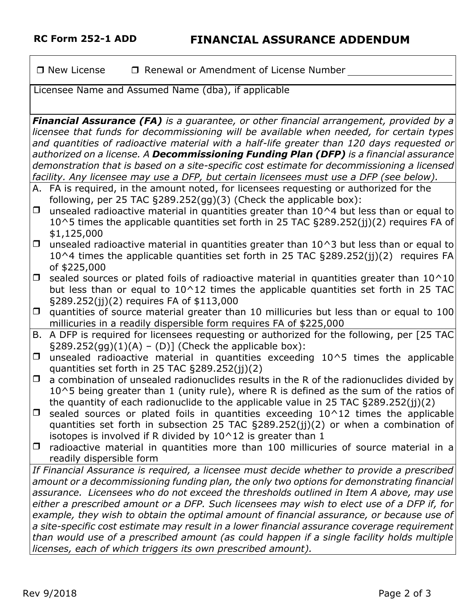$\Box$  New License  $\Box$  Renewal or Amendment of License Number

Licensee Name and Assumed Name (dba), if applicable

*Financial Assurance (FA) is a guarantee, or other financial arrangement, provided by a licensee that funds for decommissioning will be available when needed, for certain types and quantities of radioactive material with a half-life greater than 120 days requested or authorized on a license. A Decommissioning Funding Plan (DFP) is a financial assurance demonstration that is based on a site-specific cost estimate for decommissioning a licensed facility. Any licensee may use a DFP, but certain licensees must use a DFP (see below).*

- A. FA is required, in the amount noted, for licensees requesting or authorized for the following, per 25 TAC §289.252(gg)(3) (Check the applicable box):
- $\Box$  unsealed radioactive material in quantities greater than 10^4 but less than or equal to 10^5 times the applicable quantities set forth in 25 TAC §289.252(jj)(2) requires FA of \$1,125,000
- $\Box$  unsealed radioactive material in quantities greater than 10^3 but less than or equal to  $10^{\text{A}}$  times the applicable quantities set forth in 25 TAC §289.252(ij)(2) requires FA of \$225,000
- $\Box$  sealed sources or plated foils of radioactive material in quantities greater than 10^10 but less than or equal to  $10^{\circ}12$  times the applicable quantities set forth in 25 TAC §289.252(jj)(2) requires FA of \$113,000
- $\Box$  quantities of source material greater than 10 millicuries but less than or equal to 100 millicuries in a readily dispersible form requires FA of \$225,000
- B. A DFP is required for licensees requesting or authorized for the following, per [25 TAC  $\S 289.252(gg)(1)(A) - (D)]$  (Check the applicable box):
- $\Box$  unsealed radioactive material in quantities exceeding 10^5 times the applicable quantities set forth in 25 TAC §289.252(jj)(2)
- $\Box$  a combination of unsealed radionuclides results in the R of the radionuclides divided by  $10^{\circ}5$  being greater than 1 (unity rule), where R is defined as the sum of the ratios of the quantity of each radionuclide to the applicable value in 25 TAC §289.252(jj)(2)
- $\Box$  sealed sources or plated foils in quantities exceeding 10^12 times the applicable quantities set forth in subsection 25 TAC §289.252(jj)(2) or when a combination of isotopes is involved if R divided by  $10^{\circ}12$  is greater than 1
- $\Box$  radioactive material in quantities more than 100 millicuries of source material in a readily dispersible form

*If Financial Assurance is required, a licensee must decide whether to provide a prescribed amount or a decommissioning funding plan, the only two options for demonstrating financial assurance. Licensees who do not exceed the thresholds outlined in Item A above, may use either a prescribed amount or a DFP. Such licensees may wish to elect use of a DFP if, for example, they wish to obtain the optimal amount of financial assurance, or because use of a site-specific cost estimate may result in a lower financial assurance coverage requirement than would use of a prescribed amount (as could happen if a single facility holds multiple licenses, each of which triggers its own prescribed amount).*